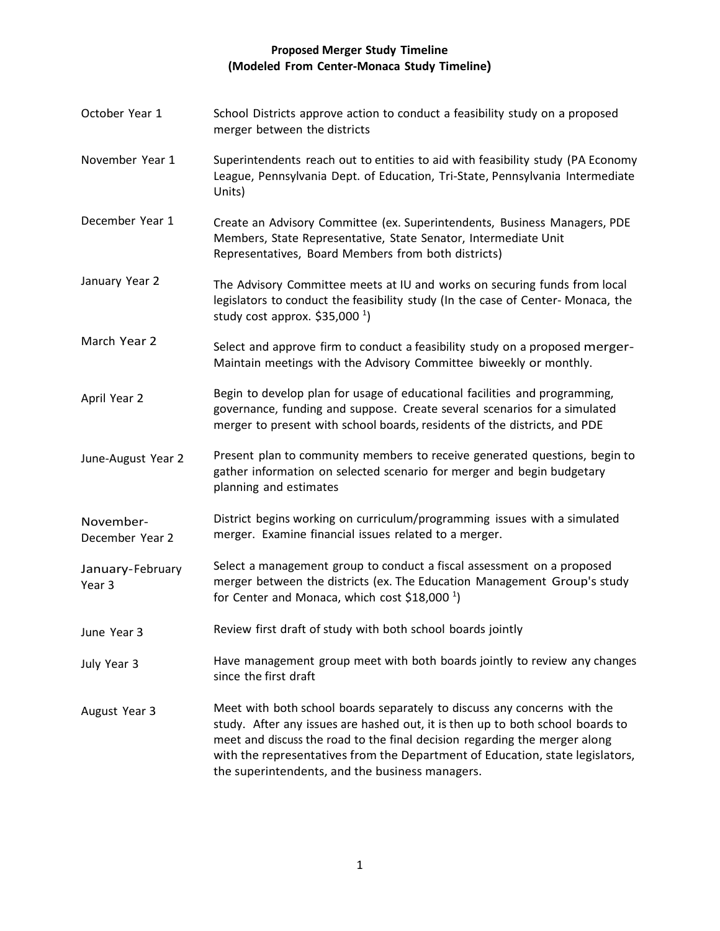## **Proposed Merger Study Timeline (Modeled From Center-Monaca Study Timeline)**

October Year 1 November Year 1 December Year 1 January Year 2 March Year 2 April Year 2 June-August Year 2 November-December Year 2 January-February Year 3 June Year 3 July Year 3 August Year 3 School Districts approve action to conduct a feasibility study on a proposed merger between the districts Superintendents reach out to entities to aid with feasibility study (PA Economy League, Pennsylvania Dept. of Education, Tri-State, Pennsylvania Intermediate Units) Create an Advisory Committee (ex. Superintendents, Business Managers, PDE Members, State Representative, State Senator, Intermediate Unit Representatives, Board Members from both districts) The Advisory Committee meets at IU and works on securing funds from local legislators to conduct the feasibility study (In the case of Center- Monaca, the study cost approx. \$35,000  $^1$ ) Select and approve firm to conduct a feasibility study on a proposed merger-Maintain meetings with the Advisory Committee biweekly or monthly. Begin to develop plan for usage of educational facilities and programming, governance, funding and suppose. Create several scenarios for a simulated merger to present with school boards, residents of the districts, and PDE Present plan to community members to receive generated questions, begin to gather information on selected scenario for merger and begin budgetary planning and estimates District begins working on curriculum/programming issues with a simulated merger. Examine financial issues related to a merger. Select a management group to conduct a fiscal assessment on a proposed merger between the districts (ex. The Education Management Group's study for Center and Monaca, which cost \$18,000  $^1$ ) Review first draft of study with both school boards jointly Have management group meet with both boards jointly to review any changes since the first draft Meet with both school boards separately to discuss any concerns with the study. After any issues are hashed out, it is then up to both school boards to meet and discuss the road to the final decision regarding the merger along with the representatives from the Department of Education, state legislators, the superintendents, and the business managers.